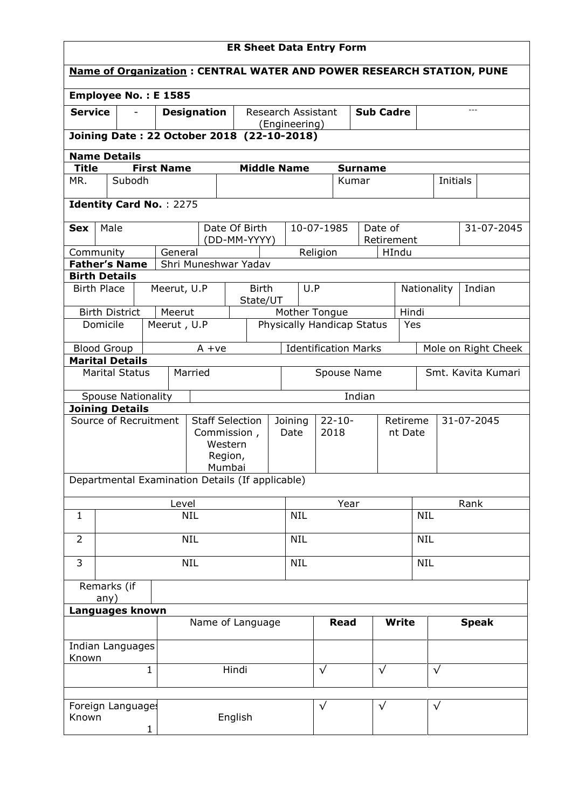| <b>ER Sheet Data Entry Form</b>                                             |                          |                                |                   |                    |                                                  |      |                            |                             |                        |                     |            |              |          |                     |
|-----------------------------------------------------------------------------|--------------------------|--------------------------------|-------------------|--------------------|--------------------------------------------------|------|----------------------------|-----------------------------|------------------------|---------------------|------------|--------------|----------|---------------------|
| <b>Name of Organization: CENTRAL WATER AND POWER RESEARCH STATION, PUNE</b> |                          |                                |                   |                    |                                                  |      |                            |                             |                        |                     |            |              |          |                     |
| Employee No.: E 1585                                                        |                          |                                |                   |                    |                                                  |      |                            |                             |                        |                     |            |              |          |                     |
| <b>Service</b>                                                              |                          |                                |                   | <b>Designation</b> | Research Assistant                               |      |                            | <b>Sub Cadre</b>            |                        |                     |            |              |          |                     |
|                                                                             |                          |                                |                   |                    | Joining Date: 22 October 2018 (22-10-2018)       |      | (Engineering)              |                             |                        |                     |            |              |          |                     |
| <b>Name Details</b>                                                         |                          |                                |                   |                    |                                                  |      |                            |                             |                        |                     |            |              |          |                     |
| <b>Title</b>                                                                |                          |                                | <b>First Name</b> |                    | <b>Middle Name</b>                               |      |                            |                             | <b>Surname</b>         |                     |            |              |          |                     |
| MR.                                                                         |                          | Subodh                         |                   |                    |                                                  |      |                            |                             | Kumar                  |                     |            |              | Initials |                     |
|                                                                             |                          | <b>Identity Card No.: 2275</b> |                   |                    |                                                  |      |                            |                             |                        |                     |            |              |          |                     |
| <b>Sex</b>                                                                  | Male                     |                                |                   |                    | Date Of Birth                                    |      |                            | 10-07-1985                  |                        | Date of             |            |              |          | 31-07-2045          |
| Community                                                                   |                          |                                | General           |                    | (DD-MM-YYYY)                                     |      |                            | Religion                    |                        | Retirement<br>HIndu |            |              |          |                     |
|                                                                             |                          | <b>Father's Name</b>           |                   |                    | Shri Muneshwar Yadav                             |      |                            |                             |                        |                     |            |              |          |                     |
| <b>Birth Details</b>                                                        |                          |                                |                   |                    |                                                  |      |                            |                             |                        |                     |            |              |          |                     |
| <b>Birth Place</b>                                                          |                          |                                | Meerut, U.P       |                    | <b>Birth</b><br>State/UT                         |      | U.P                        |                             |                        |                     |            | Nationality  |          | Indian              |
|                                                                             |                          | <b>Birth District</b>          | Meerut            |                    |                                                  |      | Mother Tongue              |                             |                        |                     | Hindi      |              |          |                     |
|                                                                             | Domicile                 |                                | Meerut, U.P       |                    |                                                  |      | Physically Handicap Status |                             |                        |                     | Yes        |              |          |                     |
| <b>Blood Group</b>                                                          |                          | <b>Marital Details</b>         |                   | $A + ve$           |                                                  |      |                            | <b>Identification Marks</b> |                        |                     |            |              |          | Mole on Right Cheek |
|                                                                             |                          | <b>Marital Status</b>          |                   | Married            |                                                  |      |                            | Spouse Name                 |                        |                     |            |              |          | Smt. Kavita Kumari  |
|                                                                             |                          | <b>Spouse Nationality</b>      |                   |                    |                                                  |      |                            |                             | Indian                 |                     |            |              |          |                     |
|                                                                             |                          | <b>Joining Details</b>         |                   |                    |                                                  |      |                            |                             |                        |                     |            |              |          |                     |
|                                                                             |                          | Source of Recruitment          |                   |                    | <b>Staff Selection</b>                           |      | Joining                    | $22 - 10 -$                 | 31-07-2045<br>Retireme |                     |            |              |          |                     |
|                                                                             |                          |                                |                   |                    | Commission,<br>Western                           | Date |                            |                             | 2018                   |                     | nt Date    |              |          |                     |
|                                                                             |                          |                                |                   |                    | Region,                                          |      |                            |                             |                        |                     |            |              |          |                     |
|                                                                             |                          |                                |                   |                    | Mumbai                                           |      |                            |                             |                        |                     |            |              |          |                     |
|                                                                             |                          |                                |                   |                    | Departmental Examination Details (If applicable) |      |                            |                             |                        |                     |            |              |          |                     |
|                                                                             |                          |                                | Level             |                    |                                                  |      |                            |                             | Year                   |                     |            |              | Rank     |                     |
| $\mathbf{1}$                                                                |                          |                                |                   | <b>NIL</b>         |                                                  |      | <b>NIL</b>                 | <b>NIL</b>                  |                        |                     |            |              |          |                     |
| $\overline{2}$                                                              |                          |                                |                   | <b>NIL</b>         |                                                  |      | <b>NIL</b>                 |                             |                        |                     | <b>NIL</b> |              |          |                     |
| $\overline{3}$                                                              | <b>NIL</b>               |                                |                   |                    |                                                  |      | <b>NIL</b><br><b>NIL</b>   |                             |                        |                     |            |              |          |                     |
| Remarks (if                                                                 |                          |                                |                   |                    |                                                  |      |                            |                             |                        |                     |            |              |          |                     |
|                                                                             | any)<br>Languages known  |                                |                   |                    |                                                  |      |                            |                             |                        |                     |            |              |          |                     |
|                                                                             | Name of Language<br>Read |                                |                   |                    |                                                  |      |                            |                             | <b>Write</b>           |                     |            | <b>Speak</b> |          |                     |
| Known                                                                       |                          | Indian Languages               |                   |                    |                                                  |      |                            |                             |                        |                     |            |              |          |                     |
|                                                                             |                          | 1                              |                   |                    | Hindi                                            |      |                            | $\sqrt{}$                   |                        | $\sqrt{}$           |            | $\sqrt{}$    |          |                     |
|                                                                             |                          |                                |                   |                    |                                                  |      |                            |                             |                        |                     |            |              |          |                     |
|                                                                             |                          | Foreign Language:              |                   |                    |                                                  |      |                            | $\sqrt{}$                   |                        | $\sqrt{ }$          |            | $\sqrt{}$    |          |                     |
| Known                                                                       |                          | 1                              |                   |                    | English                                          |      |                            |                             |                        |                     |            |              |          |                     |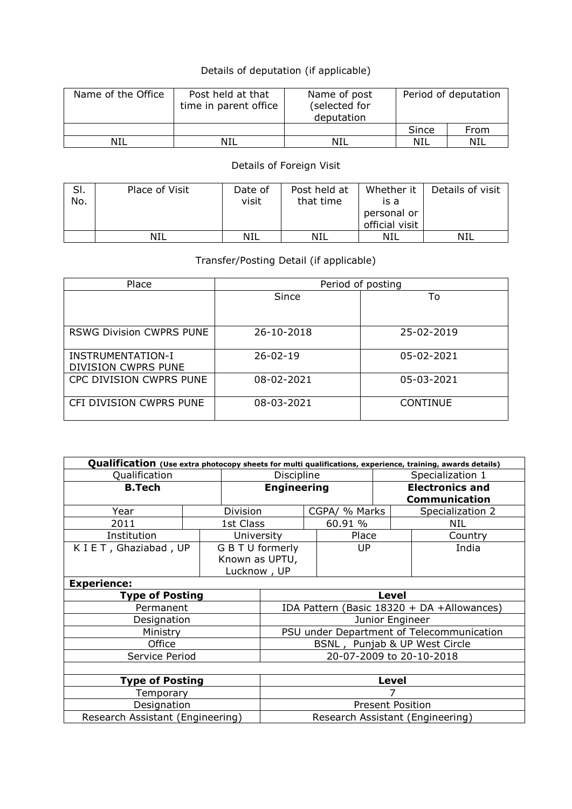## Details of deputation (if applicable)

| Name of the Office | Post held at that<br>time in parent office | Name of post<br>(selected for<br>deputation | Period of deputation |      |  |
|--------------------|--------------------------------------------|---------------------------------------------|----------------------|------|--|
|                    |                                            |                                             | Since                | From |  |
| NIL                | NIL                                        | NIL                                         | NIL                  | NIL  |  |

## Details of Foreign Visit

| SI. | Place of Visit | Date of | Post held at | Whether it     | Details of visit |
|-----|----------------|---------|--------------|----------------|------------------|
| No. |                | visit   | that time    | is a           |                  |
|     |                |         |              | personal or    |                  |
|     |                |         |              | official visit |                  |
|     | NIL            | NIL     | NIL          | NIL            | NIL              |

## Transfer/Posting Detail (if applicable)

| Place                                           | Period of posting |                 |  |  |  |  |  |  |
|-------------------------------------------------|-------------------|-----------------|--|--|--|--|--|--|
|                                                 | Since             | To              |  |  |  |  |  |  |
|                                                 |                   |                 |  |  |  |  |  |  |
| <b>RSWG Division CWPRS PUNE</b>                 | 26-10-2018        | 25-02-2019      |  |  |  |  |  |  |
| <b>INSTRUMENTATION-I</b><br>DIVISION CWPRS PUNE | $26 - 02 - 19$    | 05-02-2021      |  |  |  |  |  |  |
| CPC DIVISION CWPRS PUNE                         | 08-02-2021        | 05-03-2021      |  |  |  |  |  |  |
| CFI DIVISION CWPRS PUNE                         | 08-03-2021        | <b>CONTINUE</b> |  |  |  |  |  |  |

| Qualification (Use extra photocopy sheets for multi qualifications, experience, training, awards details) |                                  |                    |                                            |  |               |                      |                        |  |  |
|-----------------------------------------------------------------------------------------------------------|----------------------------------|--------------------|--------------------------------------------|--|---------------|----------------------|------------------------|--|--|
| Qualification                                                                                             |                                  |                    | Discipline                                 |  |               | Specialization 1     |                        |  |  |
| <b>B.Tech</b>                                                                                             |                                  | <b>Engineering</b> |                                            |  |               |                      | <b>Electronics and</b> |  |  |
|                                                                                                           |                                  |                    |                                            |  |               | <b>Communication</b> |                        |  |  |
| Year                                                                                                      |                                  | Division           |                                            |  | CGPA/ % Marks |                      | Specialization 2       |  |  |
| 2011                                                                                                      |                                  | 1st Class          |                                            |  | 60.91 %       |                      | NIL                    |  |  |
| Institution                                                                                               |                                  | University         |                                            |  | Place         |                      | Country                |  |  |
| K I E T, Ghaziabad, UP                                                                                    |                                  |                    | G B T U formerly                           |  | UP            |                      | India                  |  |  |
|                                                                                                           |                                  | Known as UPTU,     |                                            |  |               |                      |                        |  |  |
|                                                                                                           |                                  | Lucknow, UP        |                                            |  |               |                      |                        |  |  |
| <b>Experience:</b>                                                                                        |                                  |                    |                                            |  |               |                      |                        |  |  |
| <b>Type of Posting</b>                                                                                    |                                  |                    | Level                                      |  |               |                      |                        |  |  |
| Permanent                                                                                                 |                                  |                    | IDA Pattern (Basic 18320 + DA +Allowances) |  |               |                      |                        |  |  |
| Designation                                                                                               |                                  |                    | Junior Engineer                            |  |               |                      |                        |  |  |
| Ministry                                                                                                  |                                  |                    | PSU under Department of Telecommunication  |  |               |                      |                        |  |  |
| Office                                                                                                    |                                  |                    | BSNL, Punjab & UP West Circle              |  |               |                      |                        |  |  |
| Service Period                                                                                            |                                  |                    | 20-07-2009 to 20-10-2018                   |  |               |                      |                        |  |  |
|                                                                                                           |                                  |                    |                                            |  |               |                      |                        |  |  |
| <b>Type of Posting</b>                                                                                    | Level                            |                    |                                            |  |               |                      |                        |  |  |
| Temporary                                                                                                 |                                  |                    |                                            |  |               |                      |                        |  |  |
| Designation                                                                                               | <b>Present Position</b>          |                    |                                            |  |               |                      |                        |  |  |
| Research Assistant (Engineering)                                                                          | Research Assistant (Engineering) |                    |                                            |  |               |                      |                        |  |  |